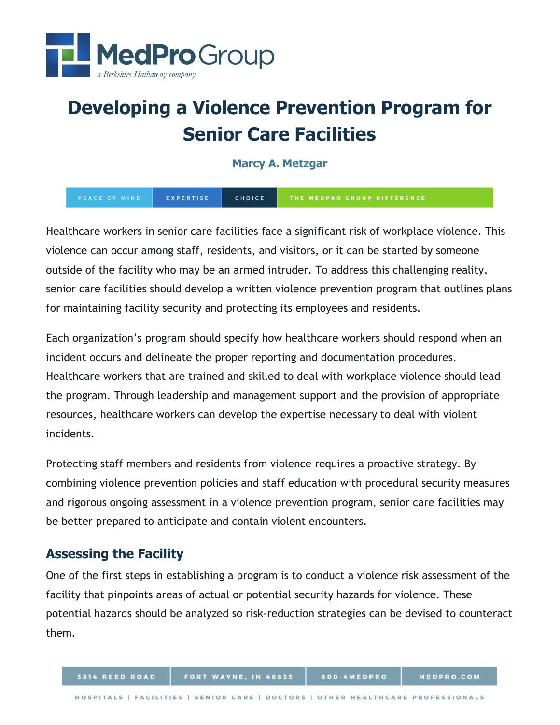

# **Developing a Violence Prevention Program for Senior Care Facilities**

**Marcy A. Metzgar**

EXPERTISE CHOICE PEACE OF MIND

Healthcare workers in senior care facilities face a significant risk of workplace violence. This violence can occur among staff, residents, and visitors, or it can be started by someone outside of the facility who may be an armed intruder. To address this challenging reality, senior care facilities should develop a written violence prevention program that outlines plans for maintaining facility security and protecting its employees and residents.

Each organization's program should specify how healthcare workers should respond when an incident occurs and delineate the proper reporting and documentation procedures. Healthcare workers that are trained and skilled to deal with workplace violence should lead the program. Through leadership and management support and the provision of appropriate resources, healthcare workers can develop the expertise necessary to deal with violent incidents.

Protecting staff members and residents from violence requires a proactive strategy. By combining violence prevention policies and staff education with procedural security measures and rigorous ongoing assessment in a violence prevention program, senior care facilities may be better prepared to anticipate and contain violent encounters.

# **Assessing the Facility**

One of the first steps in establishing a program is to conduct a violence risk assessment of the facility that pinpoints areas of actual or potential security hazards for violence. These potential hazards should be analyzed so risk-reduction strategies can be devised to counteract them.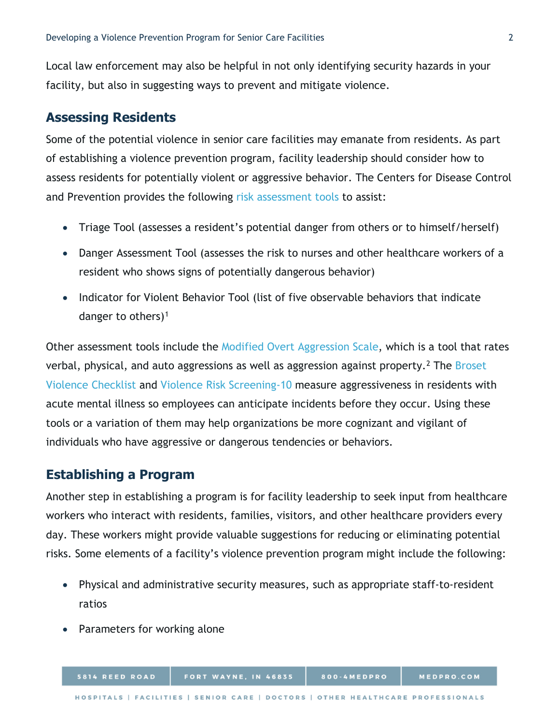Local law enforcement may also be helpful in not only identifying security hazards in your facility, but also in suggesting ways to prevent and mitigate violence.

## **Assessing Residents**

Some of the potential violence in senior care facilities may emanate from residents. As part of establishing a violence prevention program, facility leadership should consider how to assess residents for potentially violent or aggressive behavior. The Centers for Disease Control and Prevention provides the following [risk assessment tools](https://wwwn.cdc.gov/WPVHC/Nurses/Course/Slide/Unit6_8) to assist:

- Triage Tool (assesses a resident's potential danger from others or to himself/herself)
- Danger Assessment Tool (assesses the risk to nurses and other healthcare workers of a resident who shows signs of potentially dangerous behavior)
- Indicator for Violent Behavior Tool (list of five observable behaviors that indicate danger to others) $1$

Other assessment tools include the [Modified Overt Aggression Scale,](https://depts.washington.edu/dbpeds/Screening%20Tools/Modified-Overt-Aggression-Scale-MOAS.pdf) which is a tool that rates verbal, physical, and auto aggressions as well as aggression against property.<sup>2</sup> The Broset [Violence Checklist](http://riskassessment.no/) and [Violence Risk Screening-10](https://sifer.no/verktoy/v-risk-10/) measure aggressiveness in residents with acute mental illness so employees can anticipate incidents before they occur. Using these tools or a variation of them may help organizations be more cognizant and vigilant of individuals who have aggressive or dangerous tendencies or behaviors.

### **Establishing a Program**

Another step in establishing a program is for facility leadership to seek input from healthcare workers who interact with residents, families, visitors, and other healthcare providers every day. These workers might provide valuable suggestions for reducing or eliminating potential risks. Some elements of a facility's violence prevention program might include the following:

- Physical and administrative security measures, such as appropriate staff-to-resident ratios
- Parameters for working alone

5814 REED ROAD

800-4MEDPRO

MEDPRO.COM

FORT WAYNE, IN 46835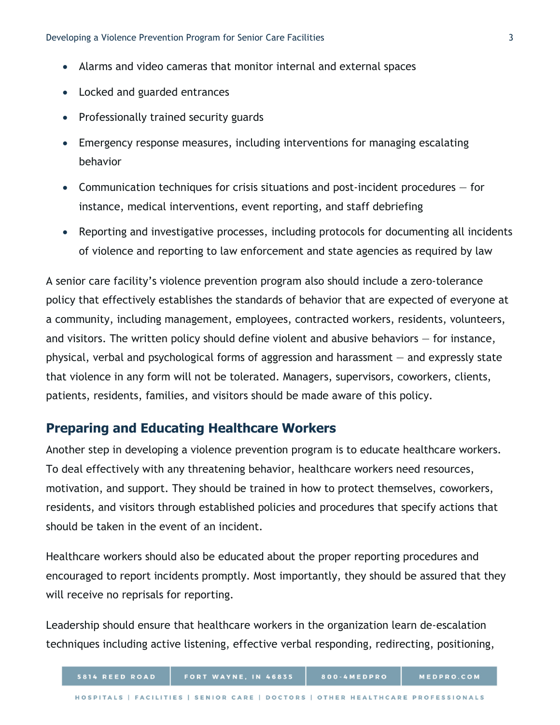- Alarms and video cameras that monitor internal and external spaces
- <span id="page-2-0"></span>• Locked and guarded entrances
- Professionally trained security guards
- <span id="page-2-1"></span>• Emergency response measures, including interventions for managing escalating behavior
- <span id="page-2-2"></span>• Communication techniques for crisis situations and post-incident procedures — for instance, medical interventions, event reporting, and staff debriefing
- <span id="page-2-3"></span>• Reporting and investigative processes, including protocols for documenting all incidents of violence and reporting to law enforcement and state agencies as required by law

A senior care facility's violence prevention program also should include a zero-tolerance policy that effectively establishes the standards of behavior that are expected of everyone at a community, including management, employees, contracted workers, residents, volunteers, and visitors. The written policy should define violent and abusive behaviors — for instance, physical, verbal and psychological forms of aggression and harassment — and expressly state that violence in any form will not be tolerated. Managers, supervisors, coworkers, clients, patients, residents, families, and visitors should be made aware of this policy.

## **Preparing and Educating Healthcare Workers**

Another step in developing a violence prevention program is to educate healthcare workers. To deal effectively with any threatening behavior, healthcare workers need resources, motivation, and support. They should be trained in how to protect themselves, coworkers, residents, and visitors through established policies and procedures that specify actions that should be taken in the event of an incident.

Healthcare workers should also be educated about the proper reporting procedures and encouraged to report incidents promptly. Most importantly, they should be assured that they will receive no reprisals for reporting.

Leadership should ensure that healthcare workers in the organization learn de-escalation techniques including active listening, effective verbal responding, redirecting, positioning,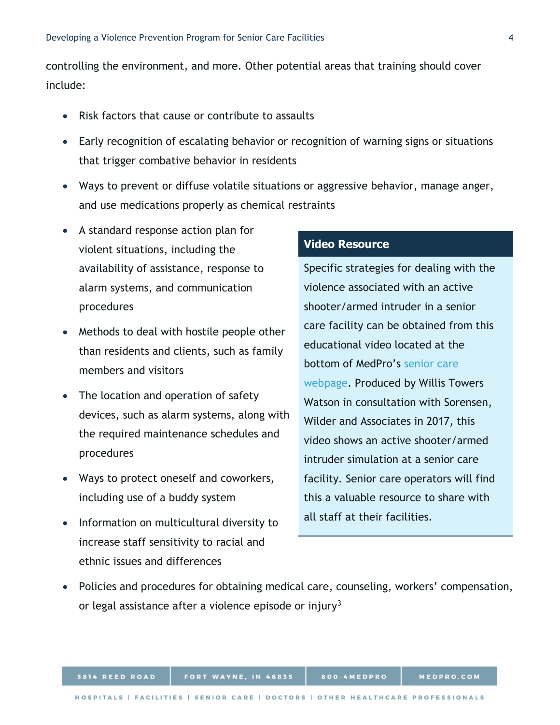controlling the environment, and more. Other potential areas that training should cover include:

- Risk factors that cause or contribute to assaults
- Early recognition of escalating behavior or recognition of warning signs or situations that trigger combative behavior in residents
- Ways to prevent or diffuse volatile situations or aggressive behavior, manage anger, and use medications properly as chemical restraints
- A standard response action plan for violent situations, including the availability of assistance, response to alarm systems, and communication procedures
- Methods to deal with hostile people other than residents and clients, such as family members and visitors
- The location and operation of safety devices, such as alarm systems, along with the required maintenance schedules and procedures
- Ways to protect oneself and coworkers, including use of a buddy system
- Information on multicultural diversity to increase staff sensitivity to racial and ethnic issues and differences

#### **Video Resource**

Specific strategies for dealing with the violence associated with an active shooter/armed intruder in a senior care facility can be obtained from this educational video located at the bottom of MedPro's [senior care](https://www.medpro.com/seniorcare)  [webpage.](https://www.medpro.com/seniorcare) Produced by Willis Towers Watson in consultation with Sorensen, Wilder and Associates in 2017, this video shows an active shooter/armed intruder simulation at a senior care facility. Senior care operators will find this a valuable resource to share with all staff at their facilities.

• Policies and procedures for obtaining medical care, counseling, workers' compensation, or legal assistance after a violence episode or injury<sup>[3](#page-2-2)</sup>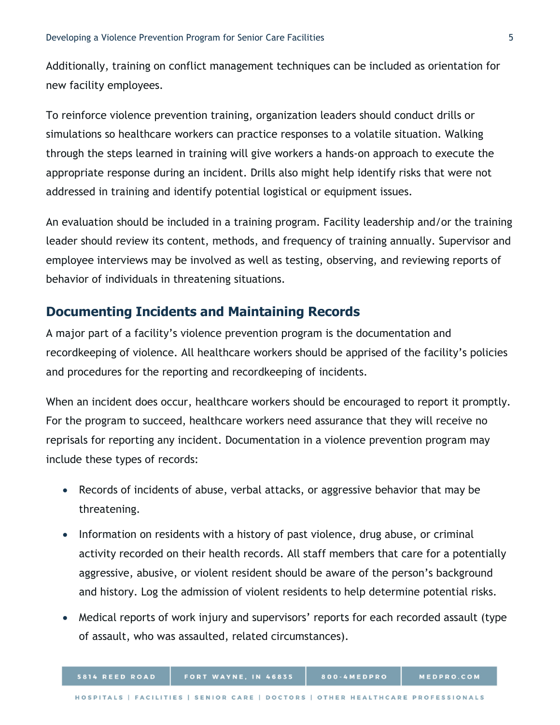Additionally, training on conflict management techniques can be included as orientation for new facility employees.

To reinforce violence prevention training, organization leaders should conduct drills or simulations so healthcare workers can practice responses to a volatile situation. Walking through the steps learned in training will give workers a hands-on approach to execute the appropriate response during an incident. Drills also might help identify risks that were not addressed in training and identify potential logistical or equipment issues.

An evaluation should be included in a training program. Facility leadership and/or the training leader should review its content, methods, and frequency of training annually. Supervisor and employee interviews may be involved as well as testing, observing, and reviewing reports of behavior of individuals in threatening situations.

## **Documenting Incidents and Maintaining Records**

A major part of a facility's violence prevention program is the documentation and recordkeeping of violence. All healthcare workers should be apprised of the facility's policies and procedures for the reporting and recordkeeping of incidents.

When an incident does occur, healthcare workers should be encouraged to report it promptly. For the program to succeed, healthcare workers need assurance that they will receive no reprisals for reporting any incident. Documentation in a violence prevention program may include these types of records:

- Records of incidents of abuse, verbal attacks, or aggressive behavior that may be threatening.
- Information on residents with a history of past violence, drug abuse, or criminal activity recorded on their health records. All staff members that care for a potentially aggressive, abusive, or violent resident should be aware of the person's background and history. Log the admission of violent residents to help determine potential risks.
- Medical reports of work injury and supervisors' reports for each recorded assault (type of assault, who was assaulted, related circumstances).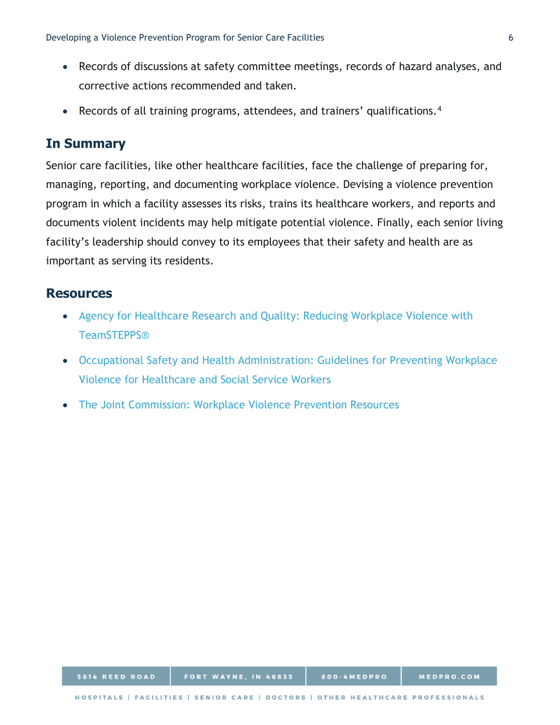- Records of discussions at safety committee meetings, records of hazard analyses, and corrective actions recommended and taken.
- Records of all training programs, attendees, and trainers' qualifications.<sup>[4](#page-2-3)</sup>

## **In Summary**

Senior care facilities, like other healthcare facilities, face the challenge of preparing for, managing, reporting, and documenting workplace violence. Devising a violence prevention program in which a facility assesses its risks, trains its healthcare workers, and reports and documents violent incidents may help mitigate potential violence. Finally, each senior living facility's leadership should convey to its employees that their safety and health are as important as serving its residents.

## **Resources**

- [Agency for Healthcare Research and Quality: Reducing Workplace Violence with](https://www.ahrq.gov/teamstepps/events/webinars/dec-2016.html)  [TeamSTEPPS®](https://www.ahrq.gov/teamstepps/events/webinars/dec-2016.html)
- [Occupational Safety and Health Administration: Guidelines for Preventing Workplace](https://www.osha.gov/Publications/osha3148.pdf)  [Violence for Healthcare and Social Service Workers](https://www.osha.gov/Publications/osha3148.pdf)
- [The Joint Commission: Workplace Violence Prevention Resources](https://www.jointcommission.org/resources/patient-safety-topics/workplace-violence-prevention/#da5c13bca86a4ca0ba58d7feff614849_67bef557d74947228d1275fae371d86a)